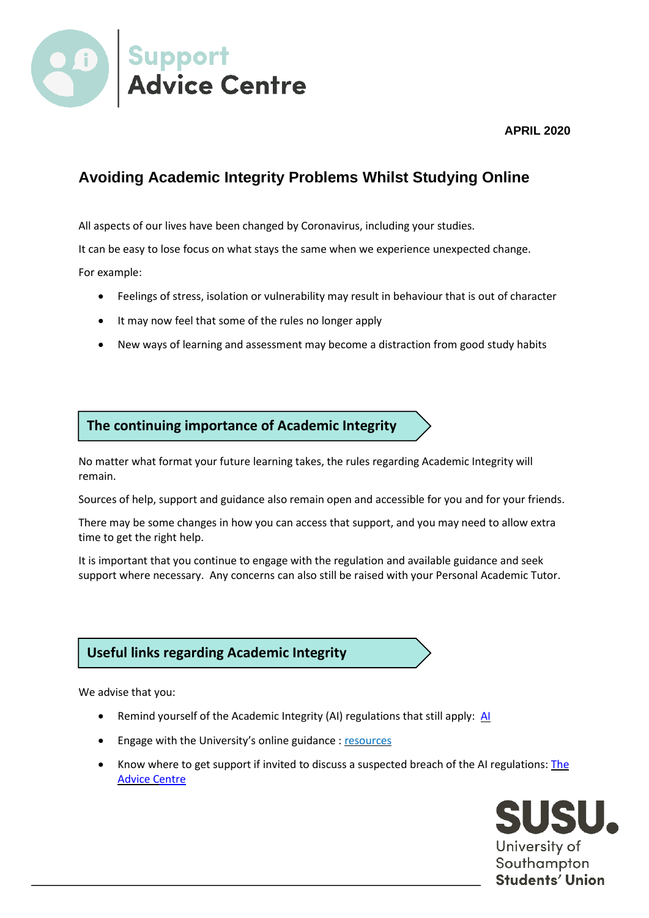

**APRIL 2020**

# **Avoiding Academic Integrity Problems Whilst Studying Online**

All aspects of our lives have been changed by Coronavirus, including your studies.

It can be easy to lose focus on what stays the same when we experience unexpected change.

For example:

- Feelings of stress, isolation or vulnerability may result in behaviour that is out of character
- It may now feel that some of the rules no longer apply
- New ways of learning and assessment may become a distraction from good study habits

## **The continuing importance of Academic Integrity**

No matter what format your future learning takes, the rules regarding Academic Integrity will remain.

Sources of help, support and guidance also remain open and accessible for you and for your friends.

There may be some changes in how you can access that support, and you may need to allow extra time to get the right help.

It is important that you continue to engage with the regulation and available guidance and seek support where necessary. Any concerns can also still be raised with your Personal Academic Tutor.

## **Useful links regarding Academic Integrity**

We advise that you:

- Remind yourself of the Academic Integrity ([AI](https://www.southampton.ac.uk/~assets/doc/calendar/Academic%20Integrity%20Regulations.pdf)) regulations that still apply: AI
- Engage with the University's online guidance : [resources](https://www.southampton.ac.uk/quality/assessment/academic_integrity.page)
- Know where to get support if invited to discuss a suspected breach of the AI regulations[: The](https://www.susu.org/downloads/advice/academic-integrity-guide-2019.pdf)  [Advice Ce](https://www.susu.org/downloads/advice/academic-integrity-guide-2019.pdf)ntre

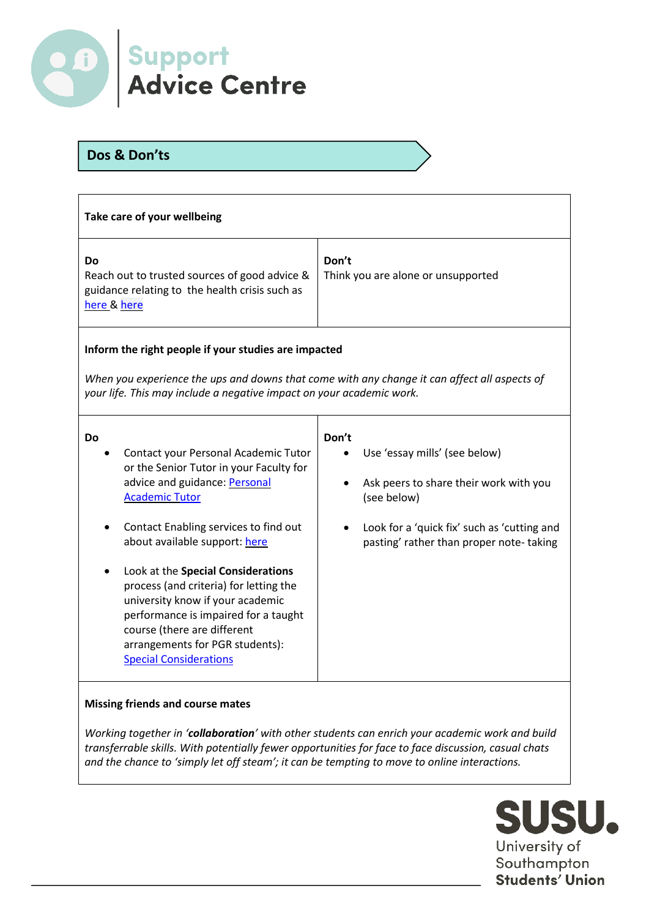

## **Dos & Don'ts**

| Take care of your wellbeing                                                                                                                                                                                                                                                                                                                                                                                                                                                                     |                                                                                                                                                                                           |  |  |  |
|-------------------------------------------------------------------------------------------------------------------------------------------------------------------------------------------------------------------------------------------------------------------------------------------------------------------------------------------------------------------------------------------------------------------------------------------------------------------------------------------------|-------------------------------------------------------------------------------------------------------------------------------------------------------------------------------------------|--|--|--|
| <b>Do</b><br>Reach out to trusted sources of good advice &<br>guidance relating to the health crisis such as<br>here & here                                                                                                                                                                                                                                                                                                                                                                     | Don't<br>Think you are alone or unsupported                                                                                                                                               |  |  |  |
| Inform the right people if your studies are impacted<br>When you experience the ups and downs that come with any change it can affect all aspects of<br>your life. This may include a negative impact on your academic work.                                                                                                                                                                                                                                                                    |                                                                                                                                                                                           |  |  |  |
| <b>Do</b><br>Contact your Personal Academic Tutor<br>or the Senior Tutor in your Faculty for<br>advice and guidance: Personal<br><b>Academic Tutor</b><br>Contact Enabling services to find out<br>about available support: here<br>Look at the Special Considerations<br>process (and criteria) for letting the<br>university know if your academic<br>performance is impaired for a taught<br>course (there are different<br>arrangements for PGR students):<br><b>Special Considerations</b> | Don't<br>Use 'essay mills' (see below)<br>Ask peers to share their work with you<br>(see below)<br>Look for a 'quick fix' such as 'cutting and<br>pasting' rather than proper note-taking |  |  |  |

#### **Missing friends and course mates**

*Working together in 'collaboration' with other students can enrich your academic work and build transferrable skills. With potentially fewer opportunities for face to face discussion, casual chats and the chance to 'simply let off steam'; it can be tempting to move to online interactions.*

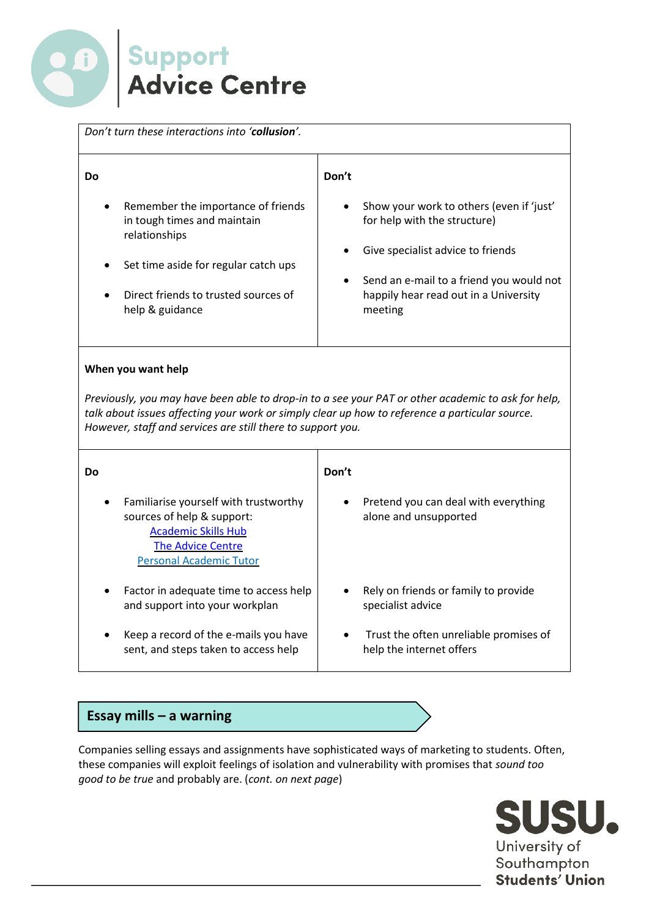

| Do                                                                                              | Don't     |                                                                          |
|-------------------------------------------------------------------------------------------------|-----------|--------------------------------------------------------------------------|
| Remember the importance of friends<br>$\bullet$<br>in tough times and maintain<br>relationships |           | Show your work to others (even if 'just'<br>for help with the structure) |
|                                                                                                 |           | Give specialist advice to friends                                        |
| Set time aside for regular catch ups<br>$\bullet$                                               |           |                                                                          |
|                                                                                                 | $\bullet$ | Send an e-mail to a friend you would not                                 |
| Direct friends to trusted sources of<br>$\bullet$<br>help & guidance                            |           | happily hear read out in a University<br>meeting                         |
|                                                                                                 |           |                                                                          |

*Previously, you may have been able to drop-in to a see your PAT or other academic to ask for help, talk about issues affecting your work or simply clear up how to reference a particular source. However, staff and services are still there to support you.*

| Do        |                                                                                                                                                                 | Don't                                                                      |  |
|-----------|-----------------------------------------------------------------------------------------------------------------------------------------------------------------|----------------------------------------------------------------------------|--|
| $\bullet$ | Familiarise yourself with trustworthy<br>sources of help & support:<br><b>Academic Skills Hub</b><br><b>The Advice Centre</b><br><b>Personal Academic Tutor</b> | Pretend you can deal with everything<br>$\bullet$<br>alone and unsupported |  |
| $\bullet$ | Factor in adequate time to access help<br>and support into your workplan                                                                                        | Rely on friends or family to provide<br>specialist advice                  |  |
| $\bullet$ | Keep a record of the e-mails you have<br>sent, and steps taken to access help                                                                                   | Trust the often unreliable promises of<br>٠<br>help the internet offers    |  |

## **Essay mills – a warning**

Companies selling essays and assignments have sophisticated ways of marketing to students. Often, these companies will exploit feelings of isolation and vulnerability with promises that *sound too good to be true* and probably are. (*cont. on next page*)